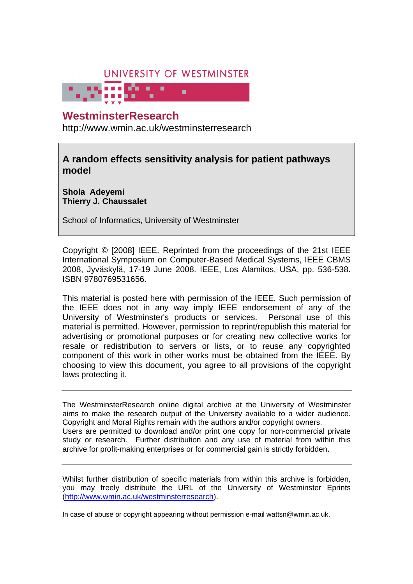# UNIVERSITY OF WESTMINSTER

# **WestminsterResearch**

http://www.wmin.ac.uk/westminsterresearch

**A random effects sensitivity analysis for patient pathways model** 

**Shola Adeyemi Thierry J. Chaussalet** 

School of Informatics, University of Westminster

Copyright © [2008] IEEE. Reprinted from the proceedings of the 21st IEEE International Symposium on Computer-Based Medical Systems, IEEE CBMS 2008, Jyväskylä, 17-19 June 2008. IEEE, Los Alamitos, USA, pp. 536-538. ISBN 9780769531656.

This material is posted here with permission of the IEEE. Such permission of the IEEE does not in any way imply IEEE endorsement of any of the University of Westminster's products or services. Personal use of this material is permitted. However, permission to reprint/republish this material for advertising or promotional purposes or for creating new collective works for resale or redistribution to servers or lists, or to reuse any copyrighted component of this work in other works must be obtained from the IEEE. By choosing to view this document, you agree to all provisions of the copyright laws protecting it.

The WestminsterResearch online digital archive at the University of Westminster aims to make the research output of the University available to a wider audience. Copyright and Moral Rights remain with the authors and/or copyright owners. Users are permitted to download and/or print one copy for non-commercial private study or research. Further distribution and any use of material from within this archive for profit-making enterprises or for commercial gain is strictly forbidden.

Whilst further distribution of specific materials from within this archive is forbidden, you may freely distribute the URL of the University of Westminster Eprints (http://www.wmin.ac.uk/westminsterresearch).

In case of abuse or copyright appearing without permission e-mail wattsn@wmin.ac.uk.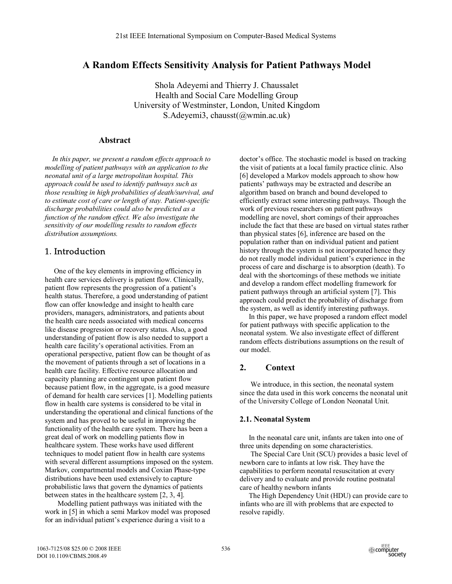# **A Random Effects Sensitivity Analysis for Patient Pathways Model**

Shola Adeyemi and Thierry J. Chaussalet Health and Social Care Modelling Group University of Westminster, London, United Kingdom S.Adeyemi3, chausst(@wmin.ac.uk)

# **Abstract**

 *In this paper, we present a random effects approach to modelling of patient pathways with an application to the neonatal unit of a large metropolitan hospital. This approach could be used to identify pathways such as those resulting in high probabilities of death/survival, and to estimate cost of care or length of stay. Patient-specific discharge probabilities could also be predicted as a function of the random effect. We also investigate the sensitivity of our modelling results to random effects distribution assumptions.* 

# 1. Introduction

 One of the key elements in improving efficiency in health care services delivery is patient flow. Clinically, patient flow represents the progression of a patient's health status. Therefore, a good understanding of patient flow can offer knowledge and insight to health care providers, managers, administrators, and patients about the health care needs associated with medical concerns like disease progression or recovery status. Also, a good understanding of patient flow is also needed to support a health care facility's operational activities. From an operational perspective, patient flow can be thought of as the movement of patients through a set of locations in a health care facility. Effective resource allocation and capacity planning are contingent upon patient flow because patient flow, in the aggregate, is a good measure of demand for health care services [1]. Modelling patients flow in health care systems is considered to be vital in understanding the operational and clinical functions of the system and has proved to be useful in improving the functionality of the health care system. There has been a great deal of work on modelling patients flow in healthcare system. These works have used different techniques to model patient flow in health care systems with several different assumptions imposed on the system. Markov, compartmental models and Coxian Phase-type distributions have been used extensively to capture probabilistic laws that govern the dynamics of patients between states in the healthcare system [2, 3, 4].

 Modelling patient pathways was initiated with the work in [5] in which a semi Markov model was proposed for an individual patient's experience during a visit to a

doctor's office. The stochastic model is based on tracking the visit of patients at a local family practice clinic. Also [6] developed a Markov models approach to show how patients' pathways may be extracted and describe an algorithm based on branch and bound developed to efficiently extract some interesting pathways. Though the work of previous researchers on patient pathways modelling are novel, short comings of their approaches include the fact that these are based on virtual states rather than physical states [6], inference are based on the population rather than on individual patient and patient history through the system is not incorporated hence they do not really model individual patient's experience in the process of care and discharge is to absorption (death). To deal with the shortcomings of these methods we initiate and develop a random effect modelling framework for patient pathways through an artificial system [7]. This approach could predict the probability of discharge from the system, as well as identify interesting pathways.

 In this paper, we have proposed a random effect model for patient pathways with specific application to the neonatal system. We also investigate effect of different random effects distributions assumptions on the result of our model.

# **2. Context**

 We introduce, in this section, the neonatal system since the data used in this work concerns the neonatal unit of the University College of London Neonatal Unit.

## **2.1. Neonatal System**

 In the neonatal care unit, infants are taken into one of three units depending on some characteristics.

 The Special Care Unit (SCU) provides a basic level of newborn care to infants at low risk. They have the capabilities to perform neonatal resuscitation at every delivery and to evaluate and provide routine postnatal care of healthy newborn infants

 The High Dependency Unit (HDU) can provide care to infants who are ill with problems that are expected to resolve rapidly.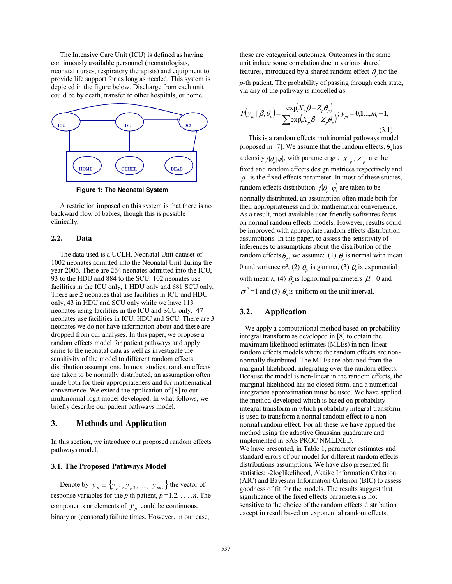The Intensive Care Unit (ICU) is defined as having continuously available personnel (neonatologists, neonatal nurses, respiratory therapists) and equipment to provide life support for as long as needed. This system is depicted in the figure below. Discharge from each unit could be by death, transfer to other hospitals, or home.



**Figure 1: The Neonatal System** 

 A restriction imposed on this system is that there is no backward flow of babies, though this is possible clinically.

#### **2.2. Data**

 The data used is a UCLH, Neonatal Unit dataset of 1002 neonates admitted into the Neonatal Unit during the year 2006. There are 264 neonates admitted into the ICU, 93 to the HDU and 884 to the SCU. 102 neonates use facilities in the ICU only, 1 HDU only and 681 SCU only. There are 2 neonates that use facilities in ICU and HDU only, 43 in HDU and SCU only while we have 113 neonates using facilities in the ICU and SCU only. 47 neonates use facilities in ICU, HDU and SCU. There are 3 neonates we do not have information about and these are dropped from our analyses. In this paper, we propose a random effects model for patient pathways and apply same to the neonatal data as well as investigate the sensitivity of the model to different random effects distribution assumptions. In most studies, random effects are taken to be normally distributed, an assumption often made both for their appropriateness and for mathematical convenience. We extend the application of [8] to our multinomial logit model developed. In what follows, we briefly describe our patient pathways model.

## **3. Methods and Application**

In this section, we introduce our proposed random effects pathways model.

### **3.1. The Proposed Pathways Model**

Denote by  $y_p = \{y_{p1}, y_{p2}, \dots, y_{pn_i}\}$  the vector of response variables for the *p* th patient,  $p = 1, 2, \ldots, n$ . The components or elements of  $y_p$  could be continuous, binary or (censored) failure times. However, in our case,

these are categorical outcomes. Outcomes in the same unit induce some correlation due to various shared features, introduced by a shared random effect  $\theta$  for the

*p-*th patient. The probability of passing through each state, via any of the pathway is modelled as

$$
P(y_{pi} | \beta, \theta_p) = \frac{\exp(X_p \beta + Z_p \theta_p)}{\sum \exp(X_p \beta + Z_p \theta_p)}; y_{pi} = 0, 1..., m_i - 1,
$$
\n(3.1)

 This is a random effects multinomial pathways model proposed in [7]. We assume that the random effects,  $\theta$ <sub>r</sub> has a density  $f(\theta_p|\psi)$ , with parameter  $\psi$ ,  $X_p$ ,  $Z_p$  are the fixed and random effects design matrices respectively and  $\beta$  is the fixed effects parameter. In most of these studies, random effects distribution  $f(\theta_n | \psi)$  are taken to be normally distributed, an assumption often made both for their appropriateness and for mathematical convenience. As a result, most available user-friendly softwares focus on normal random effects models. However, results could be improved with appropriate random effects distribution assumptions. In this paper, to assess the sensitivity of inferences to assumptions about the distribution of the random effects  $\theta_p$ , we assume: (1)  $\theta_p$  is normal with mean 0 and variance  $\sigma^2$ , (2)  $\theta_p$  is gamma, (3)  $\theta_p$  is exponential with mean  $\lambda$ , (4)  $\theta_p$  is lognormal parameters  $\mu$  =0 and  $\sigma^2$ =1 and (5)  $\theta_p$  is uniform on the unit interval.

# **3.2. Application**

 We apply a computational method based on probability integral transform as developed in [8] to obtain the maximum likelihood estimates (MLEs) in non-linear random effects models where the random effects are nonnormally distributed. The MLEs are obtained from the marginal likelihood, integrating over the random effects. Because the model is non-linear in the random effects, the marginal likelihood has no closed form, and a numerical integration approximation must be used. We have applied the method developed which is based on probability integral transform in which probability integral transform is used to transform a normal random effect to a nonnormal random effect. For all these we have applied the method using the adaptive Gaussian quadrature and implemented in SAS PROC NMLIXED. We have presented, in Table 1, parameter estimates and standard errors of our model for different random effects distributions assumptions. We have also presented fit statistics; -2loglikelihood, Akaike Information Criterion (AIC) and Bayesian Information Criterion (BIC) to assess goodness of fit for the models. The results suggest that significance of the fixed effects parameters is not sensitive to the choice of the random effects distribution except in result based on exponential random effects.